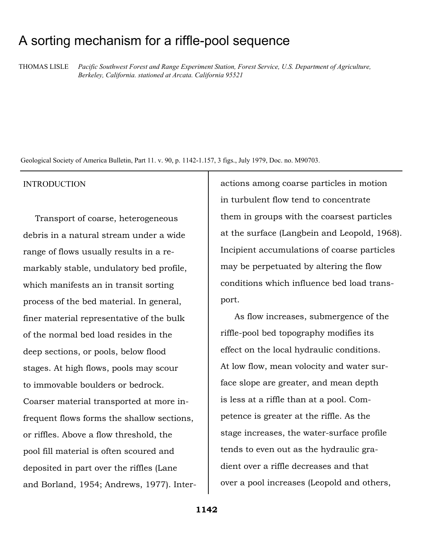# A sorting mechanism for a riffle-pool sequence

THOMAS LISLE *Pacific Southwest Forest and Range Experiment Station, Forest Service, U.S. Department of Agriculture, Berkeley, California. stationed at Arcata. California 95521*

Geological Society of America Bulletin, Part 11. v. 90, p. 1142-1.157, 3 figs., July 1979, Doc. no. M90703.

#### INTRODUCTION

Transport of coarse, heterogeneous debris in a natural stream under a wide range of flows usually results in a remarkably stable, undulatory bed profile, which manifests an in transit sorting process of the bed material. In general, finer material representative of the bulk of the normal bed load resides in the deep sections, or pools, below flood stages. At high flows, pools may scour to immovable boulders or bedrock. Coarser material transported at more infrequent flows forms the shallow sections, or riffles. Above a flow threshold, the pool fill material is often scoured and deposited in part over the riffles (Lane and Borland, 1954; Andrews, 1977). Inter-

actions among coarse particles in motion in turbulent flow tend to concentrate them in groups with the coarsest particles at the surface (Langbein and Leopold, 1968). Incipient accumulations of coarse particles may be perpetuated by altering the flow conditions which influence bed load transport.

As flow increases, submergence of the riffle-pool bed topography modifies its effect on the local hydraulic conditions. At low flow, mean volocity and water surface slope are greater, and mean depth is less at a riffle than at a pool. Competence is greater at the riffle. As the stage increases, the water-surface profile tends to even out as the hydraulic gradient over a riffle decreases and that over a pool increases (Leopold and others,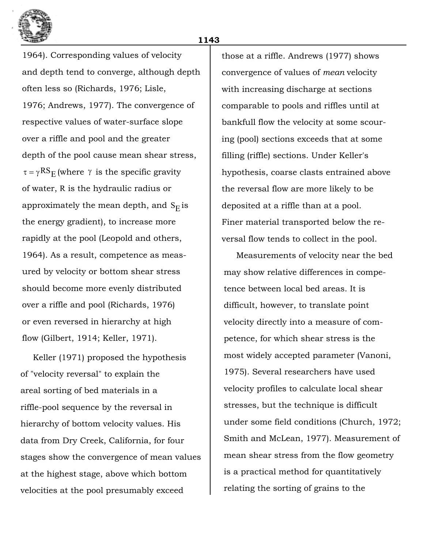

1964). Corresponding values of velocity and depth tend to converge, although depth often less so (Richards, 1976; Lisle, 1976; Andrews, 1977). The convergence of respective values of water-surface slope over a riffle and pool and the greater depth of the pool cause mean shear stress,  $\tau = \gamma RS_E$  (where  $\gamma$  is the specific gravity of water, R is the hydraulic radius or approximately the mean depth, and  $\mathrm{S}_\mathrm{E}$  is the energy gradient), to increase more rapidly at the pool (Leopold and others, 1964). As a result, competence as measured by velocity or bottom shear stress should become more evenly distributed over a riffle and pool (Richards, 1976) or even reversed in hierarchy at high flow (Gilbert, 1914; Keller, 1971).

Keller (1971) proposed the hypothesis of "velocity reversal" to explain the areal sorting of bed materials in a riffle-pool sequence by the reversal in hierarchy of bottom velocity values. His data from Dry Creek, California, for four stages show the convergence of mean values at the highest stage, above which bottom velocities at the pool presumably exceed

those at a riffle. Andrews (1977) shows convergence of values of *mean* velocity with increasing discharge at sections comparable to pools and riffles until at bankfull flow the velocity at some scouring (pool) sections exceeds that at some filling (riffle) sections. Under Keller's hypothesis, coarse clasts entrained above the reversal flow are more likely to be deposited at a riffle than at a pool. Finer material transported below the reversal flow tends to collect in the pool.

Measurements of velocity near the bed may show relative differences in competence between local bed areas. It is difficult, however, to translate point velocity directly into a measure of competence, for which shear stress is the most widely accepted parameter (Vanoni, 1975). Several researchers have used velocity profiles to calculate local shear stresses, but the technique is difficult under some field conditions (Church, 1972; Smith and McLean, 1977). Measurement of mean shear stress from the flow geometry is a practical method for quantitatively relating the sorting of grains to the

**1143**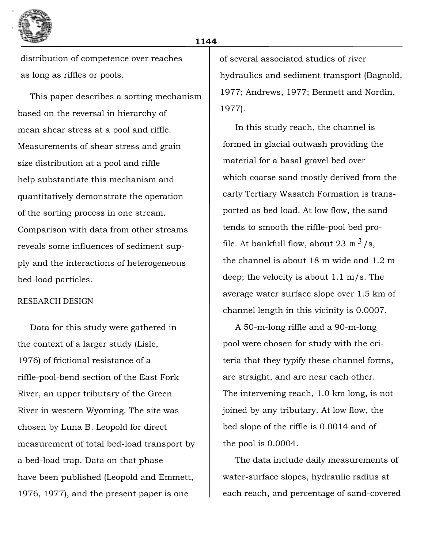

distribution of competence over reaches as long as riffles or pools.

This paper describes a sorting mechanism based on the reversal in hierarchy of mean shear stress at a pool and riffle. Measurements of shear stress and grain size distribution at a pool and riffle help substantiate this mechanism and quantitatively demonstrate the operation of the sorting process in one stream. Comparison with data from other streams reveals some influences of sediment supply and the interactions of heterogeneous bed-load particles.

## RESEARCH DESIGN

Data for this study were gathered in the context of a larger study (Lisle, 1976) of frictional resistance of a riffle-pool-bend section of the East Fork River, an upper tributary of the Green River in western Wyoming. The site was chosen by Luna B. Leopold for direct measurement of total bed-load transport by a bed-load trap. Data on that phase have been published (Leopold and Emmett, 1976, 1977), and the present paper is one

of several associated studies of river hydraulics and sediment transport (Bagnold, 1977; Andrews, 1977; Bennett and Nordin, 1977).

In this study reach, the channel is formed in glacial outwash providing the material for a basal gravel bed over which coarse sand mostly derived from the early Tertiary Wasatch Formation is transported as bed load. At low flow, the sand tends to smooth the riffle-pool bed profile. At bankfull flow, about 23  $\mathrm{m}^{3}/\mathrm{s}$ , the channel is about 18 m wide and 1.2 m deep; the velocity is about 1.1 m/s. The average water surface slope over 1.5 km of channel length in this vicinity is 0.0007.

A 50-m-long riffle and a 90-m-long pool were chosen for study with the criteria that they typify these channel forms, are straight, and are near each other. The intervening reach, 1.0 km long, is not joined by any tributary. At low flow, the bed slope of the riffle is 0.0014 and of the pool is 0.0004.

The data include daily measurements of water-surface slopes, hydraulic radius at each reach, and percentage of sand-covered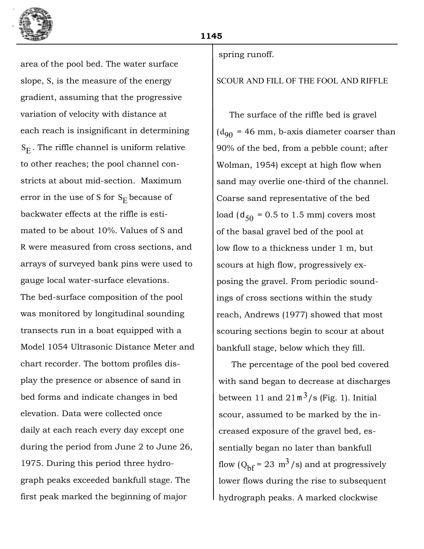

area of the pool bed. The water surface slope, S, is the measure of the energy gradient, assuming that the progressive variation of velocity with distance at each reach is insignificant in determining  $\mathrm{S}_\mathrm{E}.$  The riffle channel is uniform relative to other reaches; the pool channel constricts at about mid-section. Maximum error in the use of S for  $\mathrm{S_{E}}$  because of backwater effects at the riffle is estimated to be about 10%. Values of S and R were measured from cross sections, and arrays of surveyed bank pins were used to gauge local water-surface elevations. The bed-surface composition of the pool was monitored by longitudinal sounding transects run in a boat equipped with a Model 1054 Ultrasonic Distance Meter and chart recorder. The bottom profiles display the presence or absence of sand in bed forms and indicate changes in bed elevation. Data were collected once daily at each reach every day except one during the period from June 2 to June 26, 1975. During this period three hydrograph peaks exceeded bankfull stage. The first peak marked the beginning of major

### spring runoff.

# SCOUR AND FILL OF THE FOOL AND RIFFLE

The surface of the riffle bed is gravel  $(d_{90})$  = 46 mm, b-axis diameter coarser than 90% of the bed, from a pebble count; after Wolman, 1954) except at high flow when sand may overlie one-third of the channel. Coarse sand representative of the bed  $\log\left({\rm d}_{\rm 50}\right)$  = 0.5 to 1.5 mm) covers most of the basal gravel bed of the pool at low flow to a thickness under 1 m, but scours at high flow, progressively exposing the gravel. From periodic soundings of cross sections within the study reach, Andrews (1977) showed that most scouring sections begin to scour at about bankfull stage, below which they fill.

The percentage of the pool bed covered with sand began to decrease at discharges between 11 and  $21 \text{ m}^3/\text{s}$  (Fig. 1). Initial scour, assumed to be marked by the increased exposure of the gravel bed, essentially began no later than bankfull flow  $(Q_{\text{bf}} = 23 \text{ m}^3/\text{s})$  and at progressively lower flows during the rise to subsequent hydrograph peaks. A marked clockwise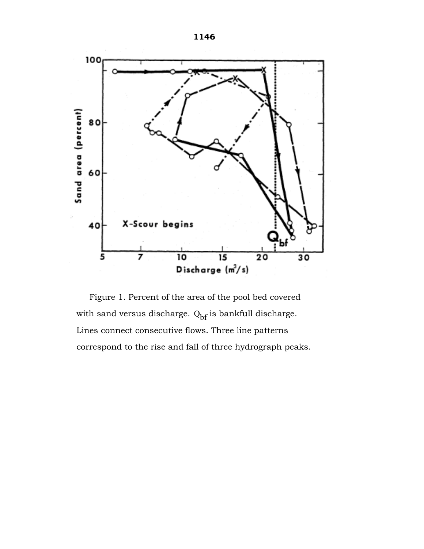

Figure 1. Percent of the area of the pool bed covered with sand versus discharge.  $\mathrm{Q}_{\mathrm{bf}}$  is bankfull discharge. Lines connect consecutive flows. Three line patterns correspond to the rise and fall of three hydrograph peaks.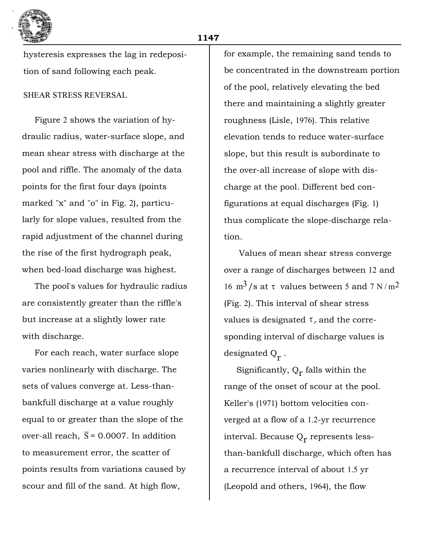

hysteresis expresses the lag in redeposition of sand following each peak.

# SHEAR STRESS REVERSAL

Figure 2 shows the variation of hydraulic radius, water-surface slope, and mean shear stress with discharge at the pool and riffle. The anomaly of the data points for the first four days (points marked "x" and "o" in Fig. 2), particularly for slope values, resulted from the rapid adjustment of the channel during the rise of the first hydrograph peak, when bed-load discharge was highest.

The pool's values for hydraulic radius are consistently greater than the riffle's but increase at a slightly lower rate with discharge.

For each reach, water surface slope varies nonlinearly with discharge. The sets of values converge at. Less-thanbankfull discharge at a value roughly equal to or greater than the slope of the over-all reach,  $\overline{S}$  = 0.0007. In addition to measurement error, the scatter of points results from variations caused by scour and fill of the sand. At high flow,

for example, the remaining sand tends to be concentrated in the downstream portion of the pool, relatively elevating the bed there and maintaining a slightly greater roughness (Lisle, 1976). This relative elevation tends to reduce water-surface slope, but this result is subordinate to the over-all increase of slope with discharge at the pool. Different bed configurations at equal discharges (Fig. 1) thus complicate the slope-discharge relation.

Values of mean shear stress converge over a range of discharges between 12 and 16 m<sup>3</sup>/s at  $\tau$  values between 5 and 7 N/m<sup>2</sup> (Fig. 2). This interval of shear stress values is designated  $\tau_r$  and the corresponding interval of discharge values is designated  $Q_{\vec{\Gamma}}$  .

Significantly,  $Q_r$  falls within the range of the onset of scour at the pool. Keller's (1971) bottom velocities converged at a flow of a 1.2-yr recurrence interval. Because  $Q_r$  represents lessthan-bankfull discharge, which often has a recurrence interval of about 1.5 yr (Leopold and others, 1964), the flow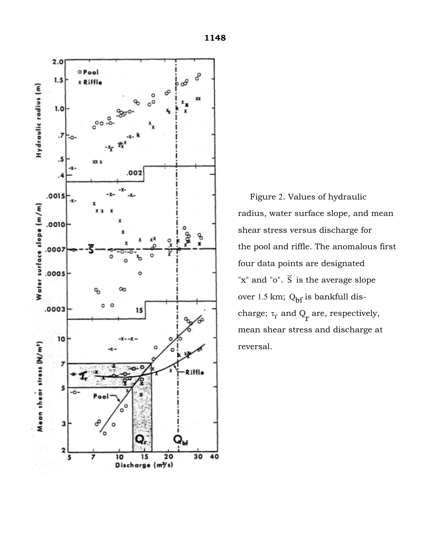

Figure 2. Values of hydraulic radius, water surface slope, and mean shear stress versus discharge for the pool and riffle. The anomalous first four data points are designated "x" and "o". S is the average slope over 1.5 km; Q<sub>bf</sub> is bankfull discharge;  $\tau_{\gamma}$  and  $Q_{\rm r}$  are, respectively, mean shear stress and discharge at reversal.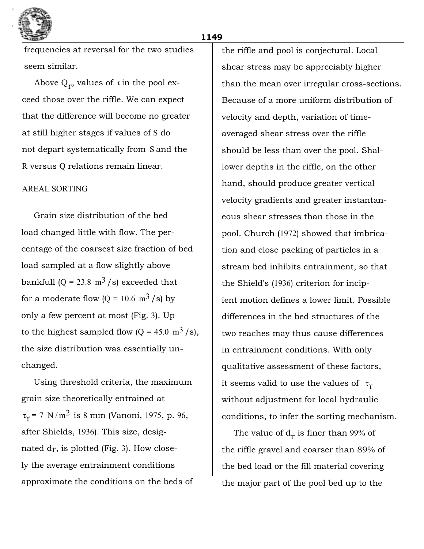

frequencies at reversal for the two studies seem similar.

Above  $Q_r$ , values of  $\tau$  in the pool exceed those over the riffle. We can expect that the difference will become no greater at still higher stages if values of S do not depart systematically from  $\overline{S}$  and the R versus Q relations remain linear.

## AREAL SORTING

Grain size distribution of the bed load changed little with flow. The percentage of the coarsest size fraction of bed load sampled at a flow slightly above bankfull  $(Q = 23.8 \text{ m}^3/\text{s})$  exceeded that for a moderate flow  $(Q = 10.6 \text{ m}^3/\text{s})$  by only a few percent at most (Fig. 3). Up to the highest sampled flow  $(Q = 45.0 \text{ m}^3/\text{s})$ , the size distribution was essentially unchanged.

Using threshold criteria, the maximum grain size theoretically entrained at  $\tau_{\Upsilon}$  = 7 N/m<sup>2</sup> is 8 mm (Vanoni, 1975, p. 96, after Shields, 1936). This size, designated  $\rm{d}$ r, is plotted (Fig. 3). How closely the average entrainment conditions approximate the conditions on the beds of

the riffle and pool is conjectural. Local shear stress may be appreciably higher than the mean over irregular cross-sections. Because of a more uniform distribution of velocity and depth, variation of timeaveraged shear stress over the riffle should be less than over the pool. Shallower depths in the riffle, on the other hand, should produce greater vertical velocity gradients and greater instantaneous shear stresses than those in the pool. Church (1972) showed that imbrication and close packing of particles in a stream bed inhibits entrainment, so that the Shield's (1936) criterion for incipient motion defines a lower limit. Possible differences in the bed structures of the two reaches may thus cause differences in entrainment conditions. With only qualitative assessment of these factors, it seems valid to use the values of  $~\tau_{\gamma}$ without adjustment for local hydraulic conditions, to infer the sorting mechanism.

The value of  $d_r$  is finer than 99% of the riffle gravel and coarser than 89% of the bed load or the fill material covering the major part of the pool bed up to the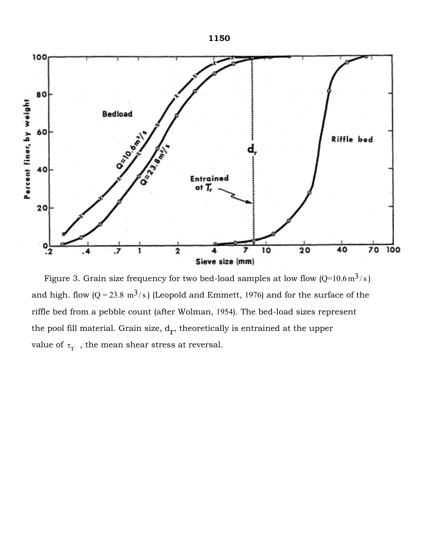

Figure 3. Grain size frequency for two bed-load samples at low flow (Q=10.6 m $^3$ /s) and high. flow (Q = 23.8 m<sup>3</sup>/s) (Leopold and Emmett, 1976) and for the surface of the riffle bed from a pebble count (after Wolman, 1954). The bed-load sizes represent the pool fill material. Grain size,  $\text{d}_{\text{r}}$ , theoretically is entrained at the upper value of  $\tau_{\gamma}$ , the mean shear stress at reversal.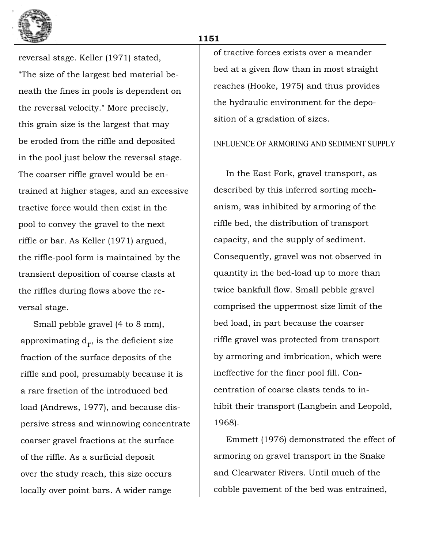

reversal stage. Keller (1971) stated, "The size of the largest bed material beneath the fines in pools is dependent on the reversal velocity." More precisely, this grain size is the largest that may be eroded from the riffle and deposited in the pool just below the reversal stage. The coarser riffle gravel would be entrained at higher stages, and an excessive tractive force would then exist in the pool to convey the gravel to the next riffle or bar. As Keller (1971) argued, the riffle-pool form is maintained by the transient deposition of coarse clasts at the riffles during flows above the reversal stage.

Small pebble gravel (4 to 8 mm), approximating  $d_r$ , is the deficient size fraction of the surface deposits of the riffle and pool, presumably because it is a rare fraction of the introduced bed load (Andrews, 1977), and because dispersive stress and winnowing concentrate coarser gravel fractions at the surface of the riffle. As a surficial deposit over the study reach, this size occurs locally over point bars. A wider range

of tractive forces exists over a meander bed at a given flow than in most straight reaches (Hooke, 1975) and thus provides the hydraulic environment for the deposition of a gradation of sizes.

#### INFLUENCE OF ARMORING AND SEDIMENT SUPPLY

In the East Fork, gravel transport, as described by this inferred sorting mechanism, was inhibited by armoring of the riffle bed, the distribution of transport capacity, and the supply of sediment. Consequently, gravel was not observed in quantity in the bed-load up to more than twice bankfull flow. Small pebble gravel comprised the uppermost size limit of the bed load, in part because the coarser riffle gravel was protected from transport by armoring and imbrication, which were ineffective for the finer pool fill. Concentration of coarse clasts tends to inhibit their transport (Langbein and Leopold, 1968).

Emmett (1976) demonstrated the effect of armoring on gravel transport in the Snake and Clearwater Rivers. Until much of the cobble pavement of the bed was entrained,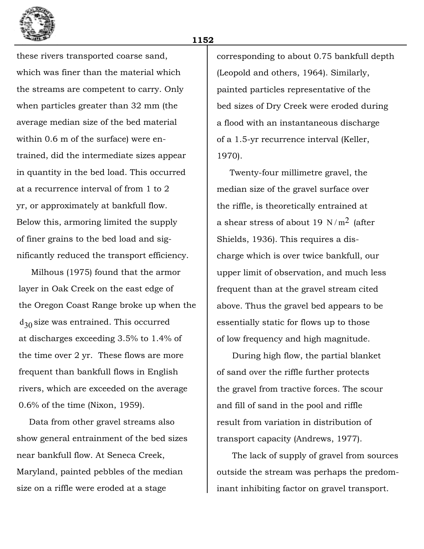

these rivers transported coarse sand, which was finer than the material which the streams are competent to carry. Only when particles greater than 32 mm (the average median size of the bed material within 0.6 m of the surface) were entrained, did the intermediate sizes appear in quantity in the bed load. This occurred at a recurrence interval of from 1 to 2 yr, or approximately at bankfull flow. Below this, armoring limited the supply of finer grains to the bed load and significantly reduced the transport efficiency.

Milhous (1975) found that the armor layer in Oak Creek on the east edge of the Oregon Coast Range broke up when the  $\rm{d_{30}}$  size was entrained. This occurred at discharges exceeding 3.5% to 1.4% of the time over 2 yr. These flows are more frequent than bankfull flows in English rivers, which are exceeded on the average 0.6% of the time (Nixon, 1959).

Data from other gravel streams also show general entrainment of the bed sizes near bankfull flow. At Seneca Creek, Maryland, painted pebbles of the median size on a riffle were eroded at a stage

corresponding to about 0.75 bankfull depth (Leopold and others, 1964). Similarly, painted particles representative of the bed sizes of Dry Creek were eroded during a flood with an instantaneous discharge of a 1.5-yr recurrence interval (Keller, 1970).

Twenty-four millimetre gravel, the median size of the gravel surface over the riffle, is theoretically entrained at a shear stress of about 19 N/m<sup>2</sup> (after Shields, 1936). This requires a discharge which is over twice bankfull, our upper limit of observation, and much less frequent than at the gravel stream cited above. Thus the gravel bed appears to be essentially static for flows up to those of low frequency and high magnitude.

During high flow, the partial blanket of sand over the riffle further protects the gravel from tractive forces. The scour and fill of sand in the pool and riffle result from variation in distribution of transport capacity (Andrews, 1977).

The lack of supply of gravel from sources outside the stream was perhaps the predominant inhibiting factor on gravel transport.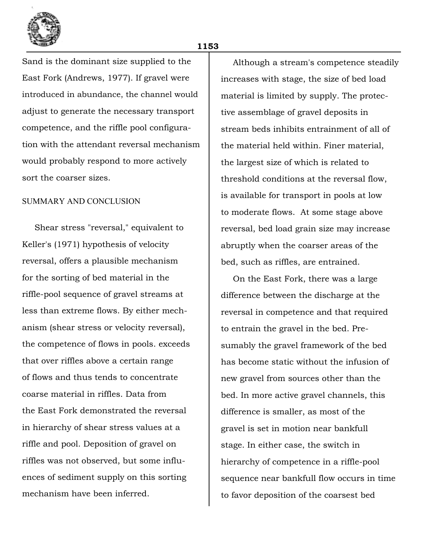

Sand is the dominant size supplied to the

East Fork (Andrews, 1977). If gravel were introduced in abundance, the channel would adjust to generate the necessary transport competence, and the riffle pool configuration with the attendant reversal mechanism would probably respond to more actively sort the coarser sizes.

## SUMMARY AND CONCLUSION

Shear stress "reversal," equivalent to Keller's (1971) hypothesis of velocity reversal, offers a plausible mechanism for the sorting of bed material in the riffle-pool sequence of gravel streams at less than extreme flows. By either mechanism (shear stress or velocity reversal), the competence of flows in pools. exceeds that over riffles above a certain range of flows and thus tends to concentrate coarse material in riffles. Data from the East Fork demonstrated the reversal in hierarchy of shear stress values at a riffle and pool. Deposition of gravel on riffles was not observed, but some influences of sediment supply on this sorting mechanism have been inferred.

Although a stream's competence steadily increases with stage, the size of bed load material is limited by supply. The protective assemblage of gravel deposits in stream beds inhibits entrainment of all of the material held within. Finer material, the largest size of which is related to threshold conditions at the reversal flow, is available for transport in pools at low to moderate flows. At some stage above reversal, bed load grain size may increase abruptly when the coarser areas of the bed, such as riffles, are entrained.

On the East Fork, there was a large difference between the discharge at the reversal in competence and that required to entrain the gravel in the bed. Presumably the gravel framework of the bed has become static without the infusion of new gravel from sources other than the bed. In more active gravel channels, this difference is smaller, as most of the gravel is set in motion near bankfull stage. In either case, the switch in hierarchy of competence in a riffle-pool sequence near bankfull flow occurs in time to favor deposition of the coarsest bed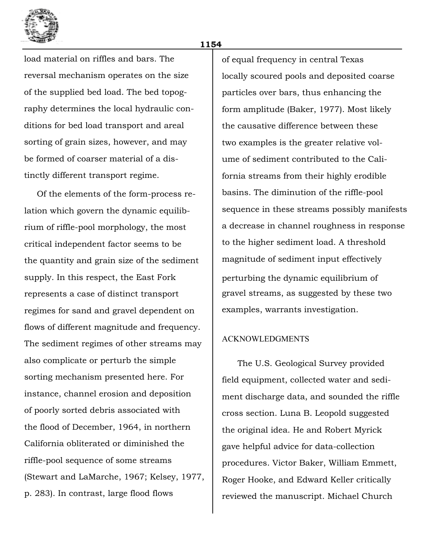

load material on riffles and bars. The reversal mechanism operates on the size of the supplied bed load. The bed topography determines the local hydraulic conditions for bed load transport and areal sorting of grain sizes, however, and may be formed of coarser material of a distinctly different transport regime.

Of the elements of the form-process relation which govern the dynamic equilibrium of riffle-pool morphology, the most critical independent factor seems to be the quantity and grain size of the sediment supply. In this respect, the East Fork represents a case of distinct transport regimes for sand and gravel dependent on flows of different magnitude and frequency. The sediment regimes of other streams may also complicate or perturb the simple sorting mechanism presented here. For instance, channel erosion and deposition of poorly sorted debris associated with the flood of December, 1964, in northern California obliterated or diminished the riffle-pool sequence of some streams (Stewart and LaMarche, 1967; Kelsey, 1977, p. 283). In contrast, large flood flows

of equal frequency in central Texas locally scoured pools and deposited coarse particles over bars, thus enhancing the form amplitude (Baker, 1977). Most likely the causative difference between these two examples is the greater relative volume of sediment contributed to the California streams from their highly erodible basins. The diminution of the riffle-pool sequence in these streams possibly manifests a decrease in channel roughness in response to the higher sediment load. A threshold magnitude of sediment input effectively perturbing the dynamic equilibrium of gravel streams, as suggested by these two examples, warrants investigation.

#### ACKNOWLEDGMENTS

The U.S. Geological Survey provided field equipment, collected water and sediment discharge data, and sounded the riffle cross section. Luna B. Leopold suggested the original idea. He and Robert Myrick gave helpful advice for data-collection procedures. Victor Baker, William Emmett, Roger Hooke, and Edward Keller critically reviewed the manuscript. Michael Church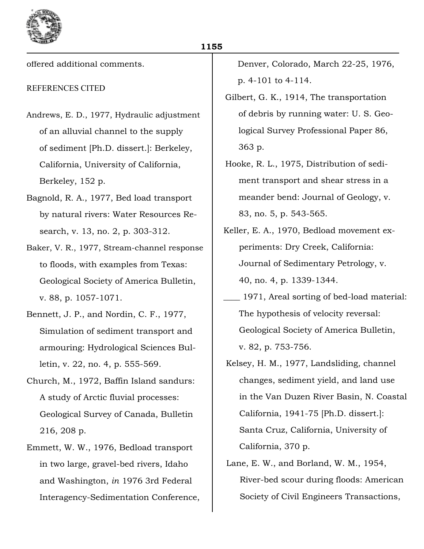

offered additional comments.

# REFERENCES CITED

- Andrews, E. D., 1977, Hydraulic adjustment of an alluvial channel to the supply of sediment [Ph.D. dissert.]: Berkeley, California, University of California, Berkeley, 152 p.
- Bagnold, R. A., 1977, Bed load transport by natural rivers: Water Resources Research, v. 13, no. 2, p. 303-312.
- Baker, V. R., 1977, Stream-channel response to floods, with examples from Texas: Geological Society of America Bulletin, v. 88, p. 1057-1071.
- Bennett, J. P., and Nordin, C. F., 1977, Simulation of sediment transport and armouring: Hydrological Sciences Bulletin, v. 22, no. 4, p. 555-569.
- Church, M., 1972, Baffin Island sandurs: A study of Arctic fluvial processes: Geological Survey of Canada, Bulletin 216, 208 p.
- Emmett, W. W., 1976, Bedload transport in two large, gravel-bed rivers, Idaho and Washington, *in* 1976 3rd Federal Interagency-Sedimentation Conference,

Denver, Colorado, March 22-25, 1976, p. 4-101 to 4-114.

- Gilbert, G. K., 1914, The transportation of debris by running water: U. S. Geological Survey Professional Paper 86, 363 p.
- Hooke, R. L., 1975, Distribution of sediment transport and shear stress in a meander bend: Journal of Geology, v. 83, no. 5, p. 543-565.
- Keller, E. A., 1970, Bedload movement experiments: Dry Creek, California: Journal of Sedimentary Petrology, v. 40, no. 4, p. 1339-1344.
- \_\_\_\_ 1971, Areal sorting of bed-load material: The hypothesis of velocity reversal: Geological Society of America Bulletin, v. 82, p. 753-756.
- Kelsey, H. M., 1977, Landsliding, channel changes, sediment yield, and land use in the Van Duzen River Basin, N. Coastal California, 1941-75 [Ph.D. dissert.]: Santa Cruz, California, University of California, 370 p.
- Lane, E. W., and Borland, W. M., 1954, River-bed scour during floods: American Society of Civil Engineers Transactions,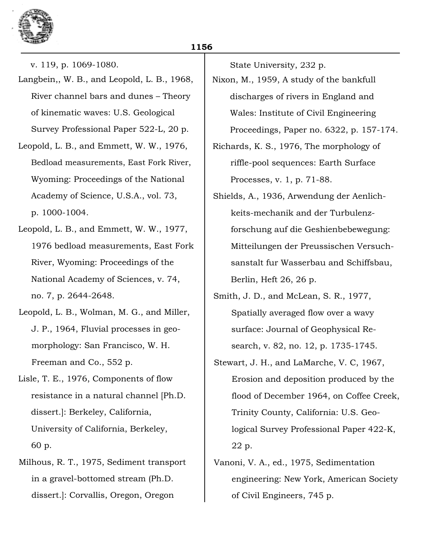

v. 119, p. 1069-1080.

- Langbein,, W. B., and Leopold, L. B., 1968, River channel bars and dunes - Theory of kinematic waves: U.S. Geological Survey Professional Paper 522-L, 20 p.
- Leopold, L. B., and Emmett, W. W., 1976, Bedload measurements, East Fork River, Wyoming: Proceedings of the National Academy of Science, U.S.A., vol. 73, p. 1000-1004.
- Leopold, L. B., and Emmett, W. W., 1977, 1976 bedload measurements, East Fork River, Wyoming: Proceedings of the National Academy of Sciences, v. 74, no. 7, p. 2644-2648.
- Leopold, L. B., Wolman, M. G., and Miller, J. P., 1964, Fluvial processes in geomorphology: San Francisco, W. H. Freeman and Co., 552 p.
- Lisle, T. E., 1976, Components of flow resistance in a natural channel [Ph.D. dissert.]: Berkeley, California, University of California, Berkeley, 60 p.
- Milhous, R. T., 1975, Sediment transport in a gravel-bottomed stream (Ph.D. dissert.]: Corvallis, Oregon, Oregon

State University, 232 p.

- Nixon, M., 1959, A study of the bankfull discharges of rivers in England and Wales: Institute of Civil Engineering Proceedings, Paper no. 6322, p. 157-174.
- Richards, K. S., 1976, The morphology of riffle-pool sequences: Earth Surface Processes, v. 1, p. 71-88.
- Shields, A., 1936, Arwendung der Aenlichkeits-mechanik and der Turbulenzforschung auf die Geshienbebewegung: Mitteilungen der Preussischen Versuchsanstalt fur Wasserbau and Schiffsbau, Berlin, Heft 26, 26 p.
- Smith, J. D., and McLean, S. R., 1977, Spatially averaged flow over a wavy surface: Journal of Geophysical Research, v. 82, no. 12, p. 1735-1745.
- Stewart, J. H., and LaMarche, V. C, 1967, Erosion and deposition produced by the flood of December 1964, on Coffee Creek, Trinity County, California: U.S. Geological Survey Professional Paper 422-K, 22 p.
- Vanoni, V. A., ed., 1975, Sedimentation engineering: New York, American Society of Civil Engineers, 745 p.